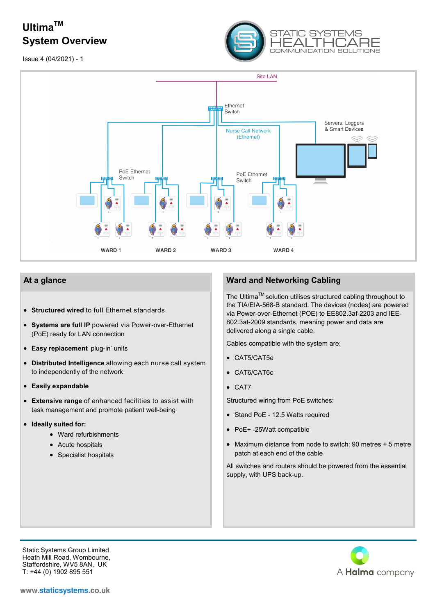## **UltimaTM System Overview**



Issue 4 (04/2021) - 1



## **At a glance**

- **Structured wired** to full Ethernet standards
- **Systems are full IP** powered via Power-over-Ethernet (PoE) ready for LAN connection
- **Easy replacement** 'plug-in' units
- **Distributed Intelligence** allowing each nurse call system to independently of the network
- **Easily expandable**
- **Extensive range** of enhanced facilities to assist with task management and promote patient well-being
- **Ideally suited for:**
	- Ward refurbishments
	- Acute hospitals
	- Specialist hospitals

## **Ward and Networking Cabling**

The Ultima™ solution utilises structured cabling throughout to the TIA/EIA-568-B standard. The devices (nodes) are powered via Power-over-Ethernet (POE) to EE802.3af-2203 and IEE-802.3at-2009 standards, meaning power and data are delivered along a single cable.

Cables compatible with the system are:

- CAT5/CAT5e
- CAT6/CAT6e
- CAT7

Structured wiring from PoE switches:

- Stand PoE 12.5 Watts required
- PoE+-25Watt compatible
- Maximum distance from node to switch: 90 metres + 5 metre patch at each end of the cable

All switches and routers should be powered from the essential supply, with UPS back-up.

Static Systems Group Limited Heath Mill Road, Wombourne, Staffordshire, WV5 8AN, UK T: +44 (0) 1902 895 551